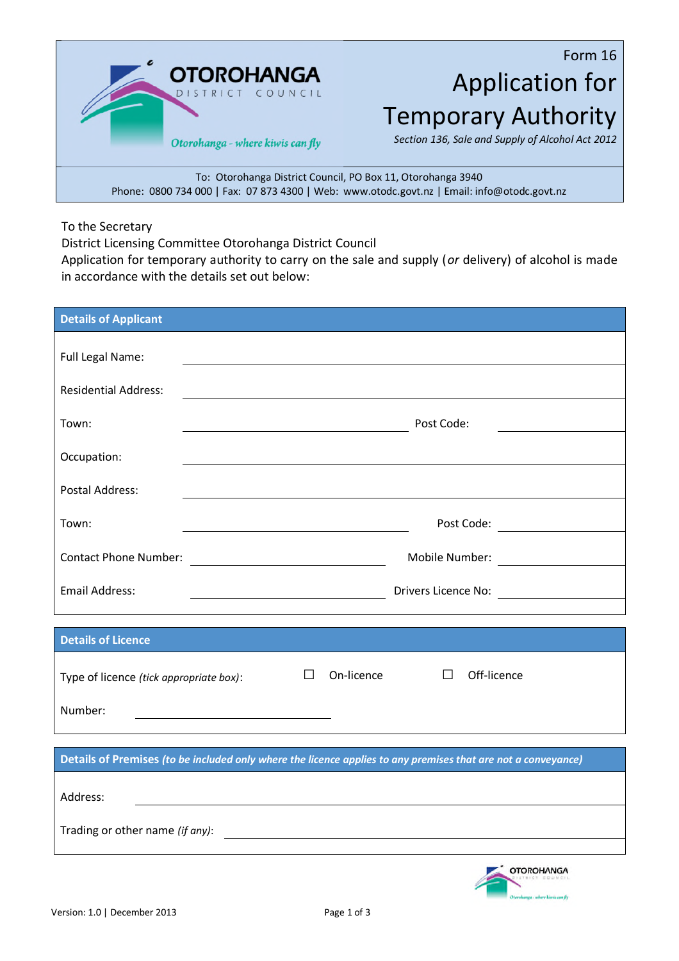**OTOROHANGA** OUNCIL Otorohanga - where kiwis can fly

Form 16 Application for Temporary Authority

*Section 136, Sale and Supply of Alcohol Act 2012*

To: Otorohanga District Council, PO Box 11, Otorohanga 3940 Phone: 0800 734 000 | Fax: 07 873 4300 | Web: www.otodc.govt.nz | Email: info@otodc.govt.nz

To the Secretary

District Licensing Committee Otorohanga District Council

Application for temporary authority to carry on the sale and supply (*or* delivery) of alcohol is made in accordance with the details set out below:

| <b>Details of Applicant</b>                                                             |                                                                                                                  |  |
|-----------------------------------------------------------------------------------------|------------------------------------------------------------------------------------------------------------------|--|
|                                                                                         |                                                                                                                  |  |
| Full Legal Name:                                                                        |                                                                                                                  |  |
| <b>Residential Address:</b>                                                             | and the control of the control of the control of the control of the control of the control of the control of the |  |
| Town:                                                                                   | Post Code:                                                                                                       |  |
|                                                                                         |                                                                                                                  |  |
| Occupation:                                                                             |                                                                                                                  |  |
| <b>Postal Address:</b>                                                                  |                                                                                                                  |  |
| Town:                                                                                   |                                                                                                                  |  |
| <b>Contact Phone Number:</b>                                                            | Mobile Number:                                                                                                   |  |
|                                                                                         | <u> 1989 - Johann Barn, fransk politik fotograf (</u>                                                            |  |
| <b>Email Address:</b>                                                                   | Drivers Licence No:                                                                                              |  |
|                                                                                         |                                                                                                                  |  |
| <b>Details of Licence</b>                                                               |                                                                                                                  |  |
| Type of licence (tick appropriate box):                                                 | On-licence<br>Off-licence<br>$\perp$<br>$\perp$                                                                  |  |
| Number:                                                                                 |                                                                                                                  |  |
|                                                                                         |                                                                                                                  |  |
|                                                                                         | Details of Premises (to be included only where the licence applies to any premises that are not a conveyance)    |  |
|                                                                                         |                                                                                                                  |  |
| Address:                                                                                |                                                                                                                  |  |
| Trading or other name (if any):<br><u> 1989 - Johann Barn, fransk politik (d. 1989)</u> |                                                                                                                  |  |
|                                                                                         |                                                                                                                  |  |
|                                                                                         | $\sim$ $\sim$                                                                                                    |  |

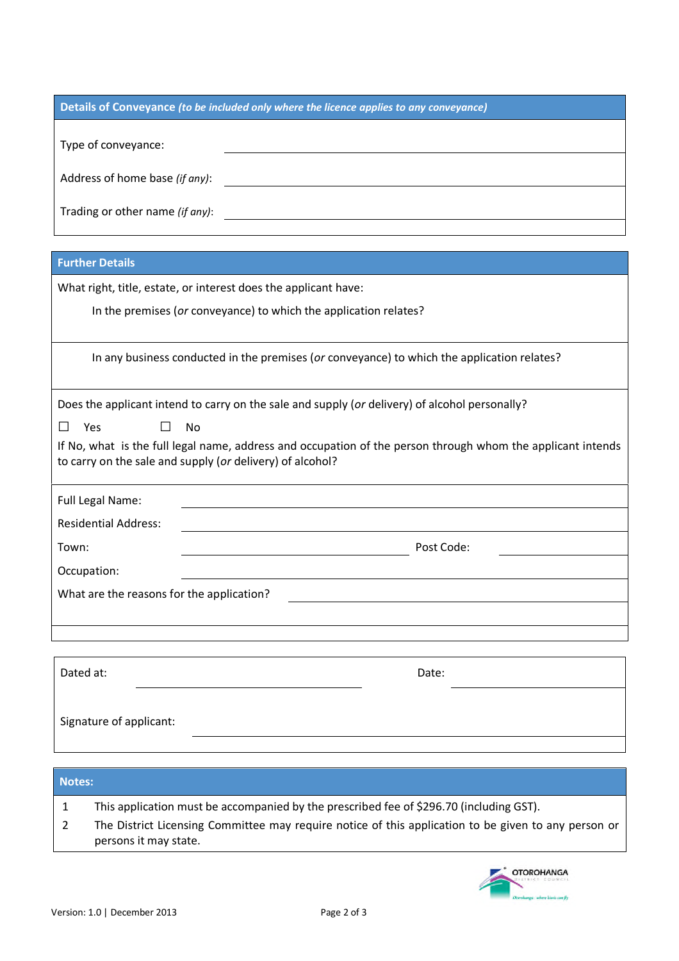| Details of Conveyance (to be included only where the licence applies to any conveyance)                                                                |            |  |
|--------------------------------------------------------------------------------------------------------------------------------------------------------|------------|--|
|                                                                                                                                                        |            |  |
| Type of conveyance:                                                                                                                                    |            |  |
|                                                                                                                                                        |            |  |
| Address of home base (if any):<br><u> 1980 - Johann Barn, mars ann an t-Amhain Aonaich an t-Aonaich an t-Aonaich ann an t-Aonaich ann an t-Aonaich</u> |            |  |
| Trading or other name (if any):                                                                                                                        |            |  |
|                                                                                                                                                        |            |  |
| <b>Further Details</b>                                                                                                                                 |            |  |
| What right, title, estate, or interest does the applicant have:                                                                                        |            |  |
| In the premises (or conveyance) to which the application relates?                                                                                      |            |  |
|                                                                                                                                                        |            |  |
| In any business conducted in the premises (or conveyance) to which the application relates?                                                            |            |  |
|                                                                                                                                                        |            |  |
| Does the applicant intend to carry on the sale and supply (or delivery) of alcohol personally?                                                         |            |  |
| Yes<br>П<br><b>No</b><br>$\mathsf{L}$                                                                                                                  |            |  |
| If No, what is the full legal name, address and occupation of the person through whom the applicant intends                                            |            |  |
| to carry on the sale and supply (or delivery) of alcohol?                                                                                              |            |  |
| Full Legal Name:                                                                                                                                       |            |  |
| <b>Residential Address:</b>                                                                                                                            |            |  |
| Town:                                                                                                                                                  | Post Code: |  |
| Occupation:                                                                                                                                            |            |  |
| What are the reasons for the application?                                                                                                              |            |  |
|                                                                                                                                                        |            |  |
|                                                                                                                                                        |            |  |
|                                                                                                                                                        |            |  |
| Dated at:                                                                                                                                              | Date:      |  |
|                                                                                                                                                        |            |  |
| Signature of applicant:                                                                                                                                |            |  |
|                                                                                                                                                        |            |  |
|                                                                                                                                                        |            |  |
| <b>Notes:</b>                                                                                                                                          |            |  |

1 This application must be accompanied by the prescribed fee of \$296.70 (including GST).

2 The District Licensing Committee may require notice of this application to be given to any person or persons it may state.